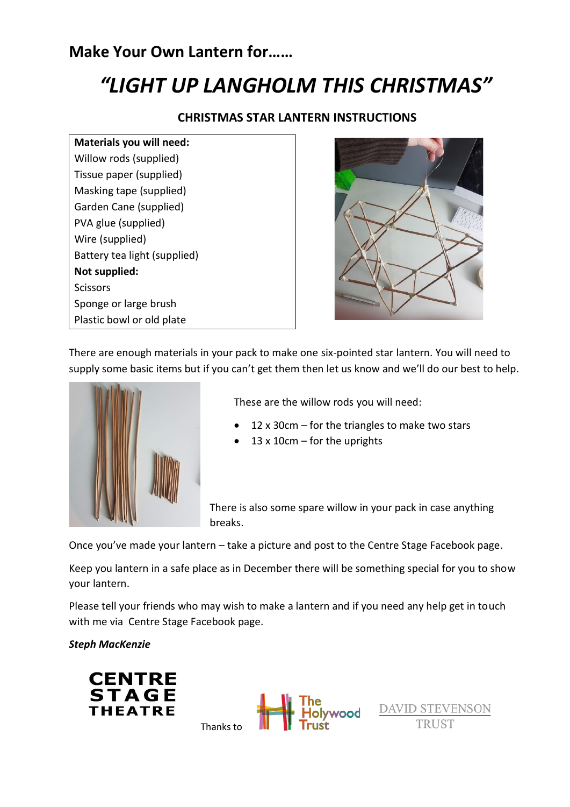# **Make Your Own Lantern for……**

# *"LIGHT UP LANGHOLM THIS CHRISTMAS"*

#### **CHRISTMAS STAR LANTERN INSTRUCTIONS**

**Materials you will need:** Willow rods (supplied) Tissue paper (supplied) Masking tape (supplied) Garden Cane (supplied) PVA glue (supplied) Wire (supplied) Battery tea light (supplied) **Not supplied: Scissors** Sponge or large brush Plastic bowl or old plate



There are enough materials in your pack to make one six-pointed star lantern. You will need to supply some basic items but if you can't get them then let us know and we'll do our best to help.



These are the willow rods you will need:

- 12 x 30cm  $-$  for the triangles to make two stars
- $\bullet$  13 x 10cm for the uprights

There is also some spare willow in your pack in case anything breaks.

Once you've made your lantern – take a picture and post to the Centre Stage Facebook page.

Keep you lantern in a safe place as in December there will be something special for you to show your lantern.

Please tell your friends who may wish to make a lantern and if you need any help get in touch with me via Centre Stage Facebook page.

Thanks to

*Steph MacKenzie*





**DAVID STEVENSON TRUST**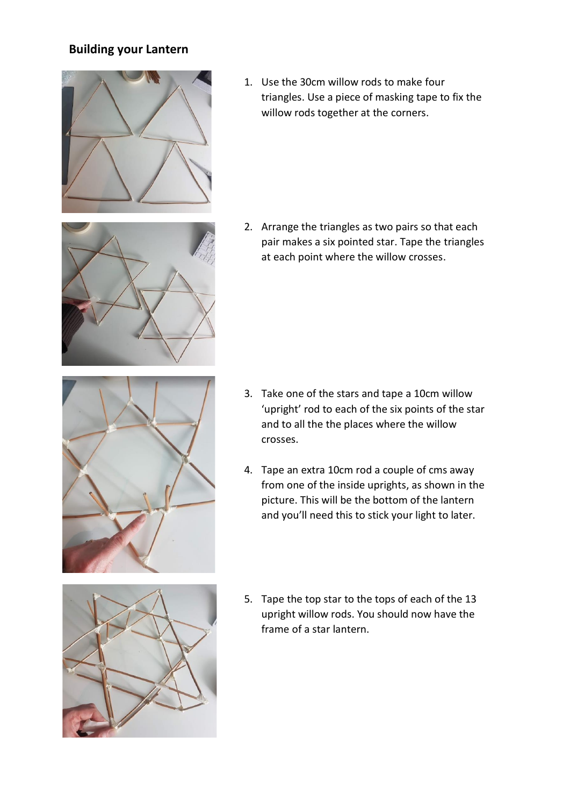## **Building your Lantern**



1. Use the 30cm willow rods to make four triangles. Use a piece of masking tape to fix the willow rods together at the corners.

2. Arrange the triangles as two pairs so that each pair makes a six pointed star. Tape the triangles at each point where the willow crosses.



- 3. Take one of the stars and tape a 10cm willow 'upright' rod to each of the six points of the star and to all the the places where the willow crosses.
- 4. Tape an extra 10cm rod a couple of cms away from one of the inside uprights, as shown in the picture. This will be the bottom of the lantern and you'll need this to stick your light to later.



5. Tape the top star to the tops of each of the 13 upright willow rods. You should now have the frame of a star lantern.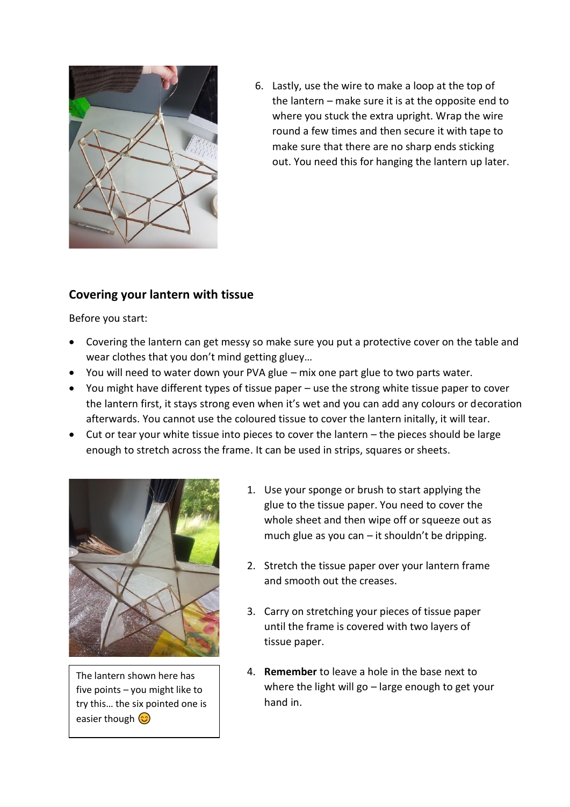

6. Lastly, use the wire to make a loop at the top of the lantern – make sure it is at the opposite end to where you stuck the extra upright. Wrap the wire round a few times and then secure it with tape to make sure that there are no sharp ends sticking out. You need this for hanging the lantern up later.

### **Covering your lantern with tissue**

Before you start:

- Covering the lantern can get messy so make sure you put a protective cover on the table and wear clothes that you don't mind getting gluey…
- You will need to water down your PVA glue mix one part glue to two parts water.
- You might have different types of tissue paper use the strong white tissue paper to cover the lantern first, it stays strong even when it's wet and you can add any colours or decoration afterwards. You cannot use the coloured tissue to cover the lantern initally, it will tear.
- Cut or tear your white tissue into pieces to cover the lantern the pieces should be large enough to stretch across the frame. It can be used in strips, squares or sheets.



The lantern shown here has five points – you might like to try this… the six pointed one is easier though  $\circled{c}$ 

- 1. Use your sponge or brush to start applying the glue to the tissue paper. You need to cover the whole sheet and then wipe off or squeeze out as much glue as you can  $-$  it shouldn't be dripping.
- 2. Stretch the tissue paper over your lantern frame and smooth out the creases.
- 3. Carry on stretching your pieces of tissue paper until the frame is covered with two layers of tissue paper.
- 4. **Remember** to leave a hole in the base next to where the light will go – large enough to get your hand in.